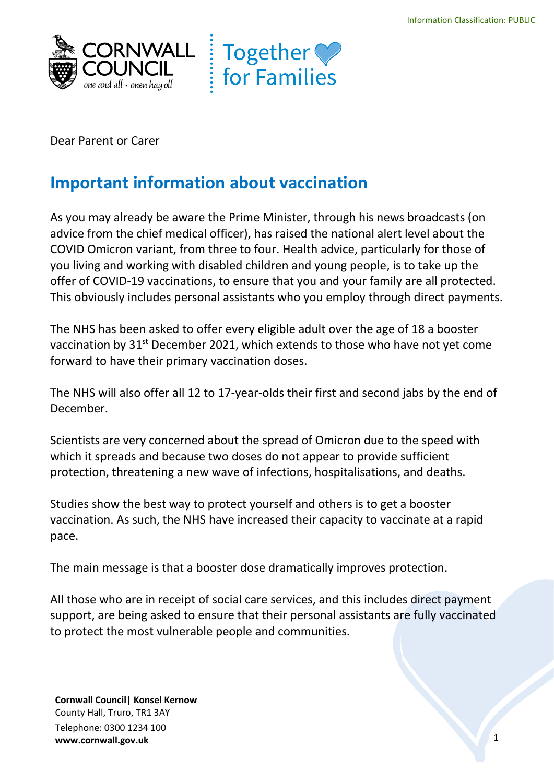



Dear Parent or Carer

## **Important information about vaccination**

 As you may already be aware the Prime Minister, through his news broadcasts (on COVID Omicron variant, from three to four. Health advice, particularly for those of you living and working with disabled children and young people, is to take up the advice from the chief medical officer), has raised the national alert level about the offer of COVID-19 vaccinations, to ensure that you and your family are all protected. This obviously includes personal assistants who you employ through direct payments.

 The NHS has been asked to offer every eligible adult over the age of 18 a booster forward to have their primary vaccination doses. vaccination by 31<sup>st</sup> December 2021, which extends to those who have not yet come

 The NHS will also offer all 12 to 17-year-olds their first and second jabs by the end of December.

 Scientists are very concerned about the spread of Omicron due to the speed with which it spreads and because two doses do not appear to provide sufficient protection, threatening a new wave of infections, hospitalisations, and deaths.

 Studies show the best way to protect yourself and others is to get a booster vaccination. As such, the NHS have increased their capacity to vaccinate at a rapid pace.

The main message is that a booster dose dramatically improves protection.

All those who are in receipt of social care services, and this includes direct payment support, are being asked to ensure that their personal assistants are fully vaccinated to protect the most vulnerable people and communities.

 Telephone: 0300 1234 100 **Cornwall Council**| **Konsel Kernow**  County Hall, Truro, TR1 3AY **<www.cornwall.gov.uk>**1